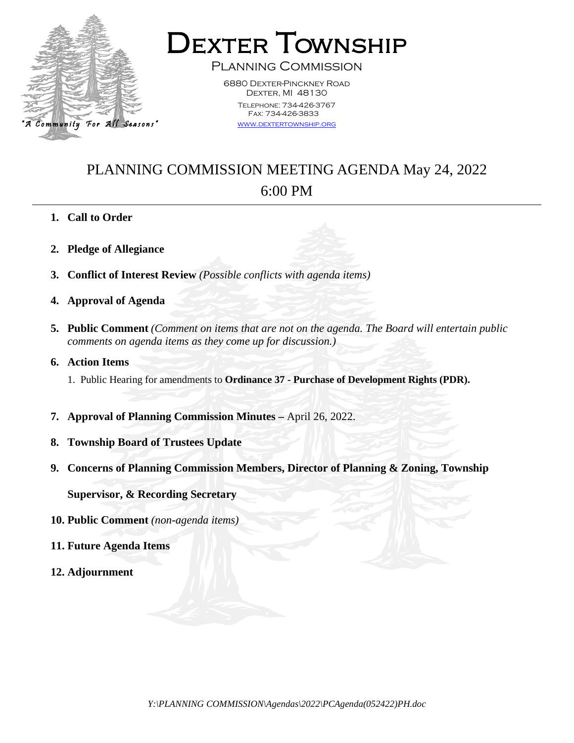

**DEXTER TOWNSHIP** 

6880 Dexter-Pinckney Road DEXTER, MI 48130 Telephone: 734-426-3767 Fax: 734-426-3833

[www.dextertownship.org](http://www.twp-dexter.org/)

## PLANNING COMMISSION MEETING AGENDA May 24, 2022

## 6:00 PM

- **1. Call to Order**
- **2. Pledge of Allegiance**
- **3. Conflict of Interest Review** *(Possible conflicts with agenda items)*
- **4. Approval of Agenda**
- **5. Public Comment** *(Comment on items that are not on the agenda. The Board will entertain public comments on agenda items as they come up for discussion.)*
- **6. Action Items**
	- 1. Public Hearing for amendments to **Ordinance 37 - Purchase of Development Rights (PDR).**
- **7. Approval of Planning Commission Minutes –** April 26, 2022.
- **8. Township Board of Trustees Update**
- **9. Concerns of Planning Commission Members, Director of Planning & Zoning, Township**

**Supervisor, & Recording Secretary**

- **10. Public Comment** *(non-agenda items)*
- **11. Future Agenda Items**
- **12. Adjournment**